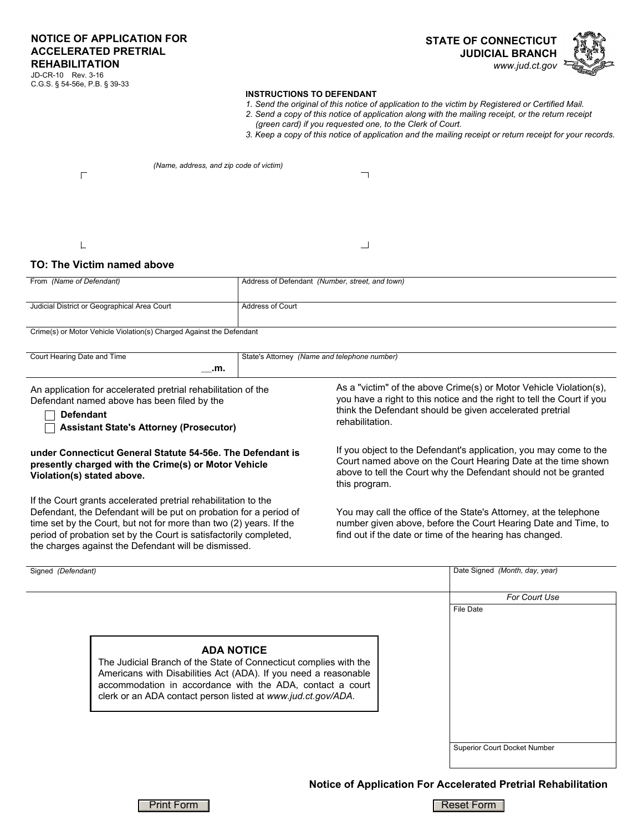C.G.S. § 54-56e, P.B. § 39-33

## **INSTRUCTIONS TO DEFENDANT**

- *1. Send the original of this notice of application to the victim by Registered or Certified Mail.*
- *2. Send a copy of this notice of application along with the mailing receipt, or the return receipt* 
	- *(green card) if you requested one, to the Clerk of Court.*

*3. Keep a copy of this notice of application and the mailing receipt or return receipt for your records.*

| (Name, address, and zip code of victim) |  |
|-----------------------------------------|--|
|                                         |  |
|                                         |  |

## **TO: The Victim named above**

| From (Name of Defendant)                     | Address of Defendant (Number, street, and town) |
|----------------------------------------------|-------------------------------------------------|
| Judicial District or Geographical Area Court | Address of Court                                |

Crime(s) or Motor Vehicle Violation(s) Charged Against the Defendant

| Court Hearing Date and Time | State's Attorney<br>(Name and telephone number) |
|-----------------------------|-------------------------------------------------|
| ---<br>.m.<br>____          |                                                 |
|                             |                                                 |

An application for accelerated pretrial rehabilitation of the Defendant named above has been filed by the

**Defendant**

**Assistant State's Attorney (Prosecutor)**

## **under Connecticut General Statute 54-56e. The Defendant is presently charged with the Crime(s) or Motor Vehicle Violation(s) stated above.**

If the Court grants accelerated pretrial rehabilitation to the Defendant, the Defendant will be put on probation for a period of time set by the Court, but not for more than two (2) years. If the period of probation set by the Court is satisfactorily completed, the charges against the Defendant will be dismissed.

As a "victim" of the above Crime(s) or Motor Vehicle Violation(s), you have a right to this notice and the right to tell the Court if you think the Defendant should be given accelerated pretrial rehabilitation.

If you object to the Defendant's application, you may come to the Court named above on the Court Hearing Date at the time shown above to tell the Court why the Defendant should not be granted this program.

You may call the office of the State's Attorney, at the telephone number given above, before the Court Hearing Date and Time, to find out if the date or time of the hearing has changed.

| Signed (Defendant)                                                                                                                                                                                                                                                                     | Date Signed (Month, day, year)      |
|----------------------------------------------------------------------------------------------------------------------------------------------------------------------------------------------------------------------------------------------------------------------------------------|-------------------------------------|
|                                                                                                                                                                                                                                                                                        | For Court Use                       |
| <b>ADA NOTICE</b><br>The Judicial Branch of the State of Connecticut complies with the<br>Americans with Disabilities Act (ADA). If you need a reasonable<br>accommodation in accordance with the ADA, contact a court<br>clerk or an ADA contact person listed at www.jud.ct.gov/ADA. | File Date                           |
|                                                                                                                                                                                                                                                                                        | <b>Superior Court Docket Number</b> |

**Notice of Application For Accelerated Pretrial Rehabilitation**



**Print Form Reset Form Reset Form Reset Form Reset Form Reset Form Reset Form Reset Form Reset Form Reset Form Reset Form Reset Form Reset Form Reset Form Reset Form Reset Form Reset Form Reset Form Reset Form Reset Form R**